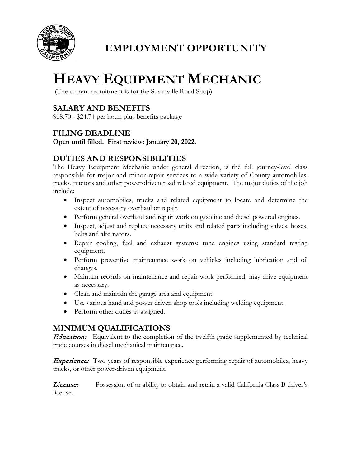

## **EMPLOYMENT OPPORTUNITY**

# **HEAVY EQUIPMENT MECHANIC**

(The current recruitment is for the Susanville Road Shop)

### **SALARY AND BENEFITS**

\$18.70 - \$24.74 per hour, plus benefits package

#### **FILING DEADLINE**

**Open until filled. First review: January 20, 2022.**

#### **DUTIES AND RESPONSIBILITIES**

The Heavy Equipment Mechanic under general direction, is the full journey-level class responsible for major and minor repair services to a wide variety of County automobiles, trucks, tractors and other power-driven road related equipment. The major duties of the job include:

- Inspect automobiles, trucks and related equipment to locate and determine the extent of necessary overhaul or repair.
- Perform general overhaul and repair work on gasoline and diesel powered engines.
- Inspect, adjust and replace necessary units and related parts including valves, hoses, belts and alternators.
- Repair cooling, fuel and exhaust systems; tune engines using standard testing equipment.
- Perform preventive maintenance work on vehicles including lubrication and oil changes.
- Maintain records on maintenance and repair work performed; may drive equipment as necessary.
- Clean and maintain the garage area and equipment.
- Use various hand and power driven shop tools including welding equipment.
- Perform other duties as assigned.

#### **MINIMUM QUALIFICATIONS**

**Education:** Equivalent to the completion of the twelfth grade supplemented by technical trade courses in diesel mechanical maintenance.

**Experience:** Two years of responsible experience performing repair of automobiles, heavy trucks, or other power-driven equipment.

*License:* Possession of or ability to obtain and retain a valid California Class B driver's license.